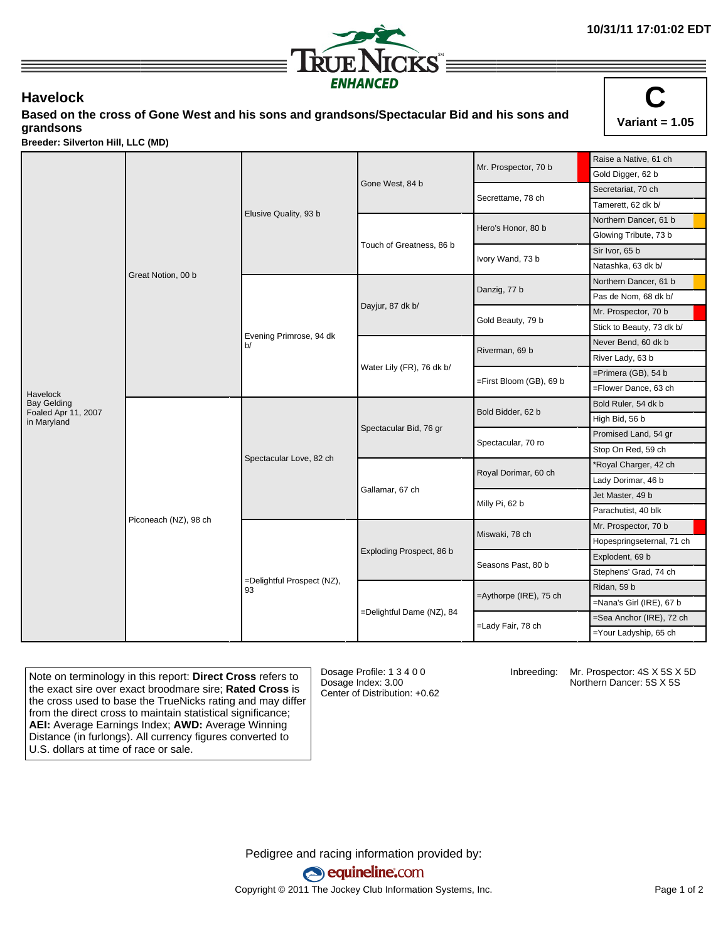

## **Havelock**

**Based on the cross of Gone West and his sons and grandsons/Spectacular Bid and his sons and grandsons**



**Breeder: Silverton Hill, LLC (MD)**

|                                    |                       |                                  |                           | Mr. Prospector, 70 b    | Raise a Native, 61 ch     |
|------------------------------------|-----------------------|----------------------------------|---------------------------|-------------------------|---------------------------|
|                                    | Great Notion, 00 b    | Elusive Quality, 93 b            |                           |                         | Gold Digger, 62 b         |
|                                    |                       |                                  | Gone West, 84 b           | Secrettame, 78 ch       | Secretariat, 70 ch        |
|                                    |                       |                                  |                           |                         | Tamerett, 62 dk b/        |
|                                    |                       |                                  |                           | Hero's Honor, 80 b      | Northern Dancer, 61 b     |
|                                    |                       |                                  |                           |                         | Glowing Tribute, 73 b     |
|                                    |                       |                                  | Touch of Greatness, 86 b  | Ivory Wand, 73 b        | Sir Ivor, 65 b            |
|                                    |                       |                                  |                           |                         | Natashka, 63 dk b/        |
|                                    |                       | Evening Primrose, 94 dk<br>h/    | Dayjur, 87 dk b/          | Danzig, 77 b            | Northern Dancer, 61 b     |
|                                    |                       |                                  |                           |                         | Pas de Nom, 68 dk b/      |
|                                    |                       |                                  |                           | Gold Beauty, 79 b       | Mr. Prospector, 70 b      |
|                                    |                       |                                  |                           |                         | Stick to Beauty, 73 dk b/ |
|                                    |                       |                                  |                           | Riverman, 69 b          | Never Bend, 60 dk b       |
|                                    |                       |                                  |                           |                         | River Lady, 63 b          |
|                                    |                       |                                  | Water Lily (FR), 76 dk b/ | =First Bloom (GB), 69 b | $=$ Primera (GB), 54 b    |
| Havelock                           |                       |                                  |                           |                         | =Flower Dance, 63 ch      |
| <b>Bay Gelding</b>                 | Piconeach (NZ), 98 ch | Spectacular Love, 82 ch          | Spectacular Bid, 76 gr    | Bold Bidder, 62 b       | Bold Ruler, 54 dk b       |
| Foaled Apr 11, 2007<br>in Maryland |                       |                                  |                           |                         | High Bid, 56 b            |
|                                    |                       |                                  |                           | Spectacular, 70 ro      | Promised Land, 54 gr      |
|                                    |                       |                                  |                           |                         | Stop On Red, 59 ch        |
|                                    |                       |                                  | Gallamar, 67 ch           | Royal Dorimar, 60 ch    | *Royal Charger, 42 ch     |
|                                    |                       |                                  |                           |                         | Lady Dorimar, 46 b        |
|                                    |                       |                                  |                           | Milly Pi, 62 b          | Jet Master, 49 b          |
|                                    |                       |                                  |                           |                         | Parachutist, 40 blk       |
|                                    |                       | =Delightful Prospect (NZ),<br>93 | Exploding Prospect, 86 b  | Miswaki, 78 ch          | Mr. Prospector, 70 b      |
|                                    |                       |                                  |                           |                         | Hopespringseternal, 71 ch |
|                                    |                       |                                  |                           | Seasons Past, 80 b      | Explodent, 69 b           |
|                                    |                       |                                  |                           |                         | Stephens' Grad, 74 ch     |
|                                    |                       |                                  | =Delightful Dame (NZ), 84 |                         | Ridan, 59 b               |
|                                    |                       |                                  |                           | =Aythorpe (IRE), 75 ch  | =Nana's Girl (IRE), 67 b  |
|                                    |                       |                                  |                           | =Lady Fair, 78 ch       | =Sea Anchor (IRE), 72 ch  |
|                                    |                       |                                  |                           |                         | =Your Ladyship, 65 ch     |

Note on terminology in this report: **Direct Cross** refers to the exact sire over exact broodmare sire; **Rated Cross** is the cross used to base the TrueNicks rating and may differ from the direct cross to maintain statistical significance; **AEI:** Average Earnings Index; **AWD:** Average Winning Distance (in furlongs). All currency figures converted to U.S. dollars at time of race or sale.

Dosage Profile: 1 3 4 0 0 Dosage Index: 3.00 Center of Distribution: +0.62

Inbreeding: Mr. Prospector: 4S X 5S X 5D Northern Dancer: 5S X 5S